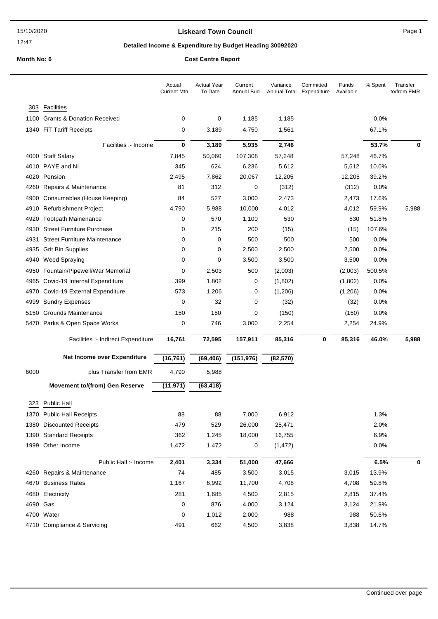12:47

## **Liskeard Town Council Canadian Council** Page 1

## **Detailed Income & Expenditure by Budget Heading 30092020**

|      |                                       | Actual<br><b>Current Mth</b> | <b>Actual Year</b><br>To Date | Current<br>Annual Bud | Variance<br>Annual Total | Committed<br>Expenditure | Funds<br>Available | % Spent | Transfer<br>to/from EMR |
|------|---------------------------------------|------------------------------|-------------------------------|-----------------------|--------------------------|--------------------------|--------------------|---------|-------------------------|
| 303  | Facilities                            |                              |                               |                       |                          |                          |                    |         |                         |
|      | 1100 Grants & Donation Received       | 0                            | 0                             | 1,185                 | 1,185                    |                          |                    | $0.0\%$ |                         |
|      | 1340 FiT Tariff Receipts              | 0                            | 3,189                         | 4,750                 | 1,561                    |                          |                    | 67.1%   |                         |
|      | Facilities :- Income                  | 0                            | 3,189                         | 5,935                 | 2,746                    |                          |                    | 53.7%   | 0                       |
|      | 4000 Staff Salary                     | 7,845                        | 50,060                        | 107,308               | 57,248                   |                          | 57,248             | 46.7%   |                         |
|      | 4010 PAYE and NI                      | 345                          | 624                           | 6,236                 | 5,612                    |                          | 5,612              | 10.0%   |                         |
| 4020 | Pension                               | 2,495                        | 7,862                         | 20,067                | 12,205                   |                          | 12,205             | 39.2%   |                         |
| 4260 | Repairs & Maintenance                 | 81                           | 312                           | 0                     | (312)                    |                          | (312)              | 0.0%    |                         |
| 4900 | Consumables (House Keeping)           | 84                           | 527                           | 3,000                 | 2,473                    |                          | 2,473              | 17.6%   |                         |
|      | 4910 Refurbishment Project            | 4,790                        | 5,988                         | 10,000                | 4,012                    |                          | 4,012              | 59.9%   | 5,988                   |
| 4920 | Footpath Mainenance                   | 0                            | 570                           | 1,100                 | 530                      |                          | 530                | 51.8%   |                         |
| 4930 | <b>Street Furniture Purchase</b>      | 0                            | 215                           | 200                   | (15)                     |                          | (15)               | 107.6%  |                         |
| 4931 | <b>Street Furniture Maintenance</b>   | 0                            | 0                             | 500                   | 500                      |                          | 500                | 0.0%    |                         |
| 4935 | <b>Grit Bin Supplies</b>              | 0                            | 0                             | 2,500                 | 2,500                    |                          | 2,500              | 0.0%    |                         |
| 4940 | <b>Weed Spraying</b>                  | 0                            | 0                             | 3,500                 | 3,500                    |                          | 3,500              | $0.0\%$ |                         |
| 4950 | Fountain/Pipewell/War Memorial        | 0                            | 2,503                         | 500                   | (2,003)                  |                          | (2,003)            | 500.5%  |                         |
| 4965 | Covid-19 Internal Expenditure         | 399                          | 1,802                         | 0                     | (1,802)                  |                          | (1,802)            | 0.0%    |                         |
| 4970 | Covid-19 External Expenditure         | 573                          | 1,206                         | 0                     | (1, 206)                 |                          | (1,206)            | 0.0%    |                         |
| 4999 | <b>Sundry Expenses</b>                | 0                            | 32                            | 0                     | (32)                     |                          | (32)               | 0.0%    |                         |
| 5150 | <b>Grounds Maintenance</b>            | 150                          | 150                           | 0                     | (150)                    |                          | (150)              | 0.0%    |                         |
|      | 5470 Parks & Open Space Works         | 0                            | 746                           | 3,000                 | 2,254                    |                          | 2,254              | 24.9%   |                         |
|      | Facilities :- Indirect Expenditure    | 16,761                       | 72,595                        | 157,911               | 85,316                   | 0                        | 85,316             | 46.0%   | 5,988                   |
|      |                                       |                              |                               |                       |                          |                          |                    |         |                         |
|      | Net Income over Expenditure           | (16, 761)                    | (69, 406)                     | (151, 976)            | (82, 570)                |                          |                    |         |                         |
| 6000 | plus Transfer from EMR                | 4,790                        | 5,988                         |                       |                          |                          |                    |         |                         |
|      | <b>Movement to/(from) Gen Reserve</b> | (11, 971)                    | (63, 418)                     |                       |                          |                          |                    |         |                         |
| 323  | Public Hall                           |                              |                               |                       |                          |                          |                    |         |                         |
|      | 1370 Public Hall Receipts             | 88                           | 88                            | 7,000                 | 6,912                    |                          |                    | 1.3%    |                         |
|      | 1380 Discounted Receipts              | 479                          | 529                           | 26,000                | 25,471                   |                          |                    | 2.0%    |                         |
|      | 1390 Standard Receipts                | 362                          | 1,245                         | 18,000                | 16,755                   |                          |                    | 6.9%    |                         |
|      | 1999 Other Income                     | 1,472                        | 1,472                         | 0                     | (1, 472)                 |                          |                    | 0.0%    |                         |
|      | Public Hall :- Income                 | 2,401                        | 3,334                         | 51,000                | 47,666                   |                          |                    | 6.5%    | 0                       |
|      | 4260 Repairs & Maintenance            | 74                           | 485                           | 3,500                 | 3,015                    |                          | 3,015              | 13.9%   |                         |
|      | 4670 Business Rates                   | 1,167                        | 6,992                         | 11,700                | 4,708                    |                          | 4,708              | 59.8%   |                         |
|      | 4680 Electricity                      | 281                          | 1,685                         | 4,500                 | 2,815                    |                          | 2,815              | 37.4%   |                         |
|      | 4690 Gas                              | 0                            | 876                           | 4,000                 | 3,124                    |                          | 3,124              | 21.9%   |                         |
|      | 4700 Water                            | 0                            | 1,012                         | 2,000                 | 988                      |                          | 988                | 50.6%   |                         |
|      |                                       |                              |                               |                       |                          |                          |                    |         |                         |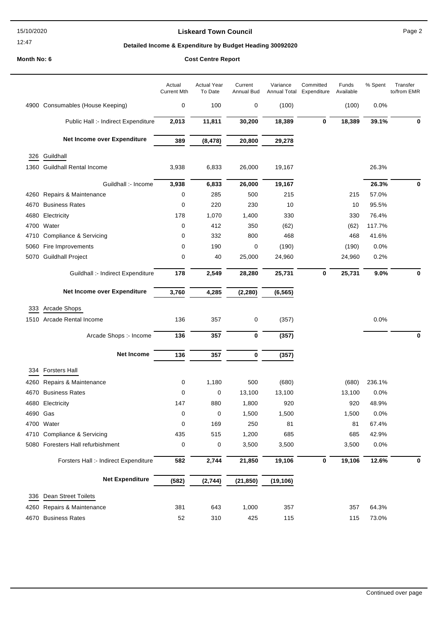#### 15/10/2020

# 12:47

## **Liskeard Town Council Canadian Council** Page 2

## **Detailed Income & Expenditure by Budget Heading 30092020**

|          |                                       | Actual<br><b>Current Mth</b> | <b>Actual Year</b><br>To Date | Current<br>Annual Bud | Variance<br>Annual Total | Committed<br>Expenditure | Funds<br>Available | % Spent | Transfer<br>to/from EMR |
|----------|---------------------------------------|------------------------------|-------------------------------|-----------------------|--------------------------|--------------------------|--------------------|---------|-------------------------|
|          | 4900 Consumables (House Keeping)      | 0                            | 100                           | 0                     | (100)                    |                          | (100)              | 0.0%    |                         |
|          | Public Hall :- Indirect Expenditure   | 2,013                        | 11,811                        | 30,200                | 18,389                   | 0                        | 18,389             | 39.1%   | 0                       |
|          | Net Income over Expenditure           | 389                          | (8, 478)                      | 20,800                | 29,278                   |                          |                    |         |                         |
| 326      | Guildhall                             |                              |                               |                       |                          |                          |                    |         |                         |
|          | 1360 Guildhall Rental Income          | 3,938                        | 6,833                         | 26,000                | 19,167                   |                          |                    | 26.3%   |                         |
|          |                                       |                              |                               |                       |                          |                          |                    |         |                         |
|          | Guildhall :- Income                   | 3,938                        | 6,833                         | 26,000                | 19,167                   |                          |                    | 26.3%   | 0                       |
|          | 4260 Repairs & Maintenance            | 0                            | 285                           | 500                   | 215                      |                          | 215                | 57.0%   |                         |
| 4670     | <b>Business Rates</b>                 | 0                            | 220                           | 230                   | 10                       |                          | 10                 | 95.5%   |                         |
| 4680     | Electricity                           | 178                          | 1,070                         | 1,400                 | 330                      |                          | 330                | 76.4%   |                         |
| 4700     | Water                                 | 0                            | 412                           | 350                   | (62)                     |                          | (62)               | 117.7%  |                         |
| 4710     | Compliance & Servicing                | 0                            | 332                           | 800                   | 468                      |                          | 468                | 41.6%   |                         |
| 5060     | Fire Improvements                     | 0                            | 190                           | 0                     | (190)                    |                          | (190)              | 0.0%    |                         |
| 5070     | <b>Guildhall Project</b>              | 0                            | 40                            | 25,000                | 24,960                   |                          | 24,960             | 0.2%    |                         |
|          | Guildhall :- Indirect Expenditure     | 178                          | 2,549                         | 28,280                | 25,731                   | 0                        | 25,731             | 9.0%    | 0                       |
|          | Net Income over Expenditure           | 3,760                        | 4,285                         | (2, 280)              | (6, 565)                 |                          |                    |         |                         |
| 333      | Arcade Shops                          |                              |                               |                       |                          |                          |                    |         |                         |
|          | 1510 Arcade Rental Income             | 136                          | 357                           | 0                     | (357)                    |                          |                    | 0.0%    |                         |
|          | Arcade Shops :- Income                | 136                          | 357                           | 0                     | (357)                    |                          |                    |         | $\bf{0}$                |
|          | <b>Net Income</b>                     | 136                          | 357                           | 0                     | (357)                    |                          |                    |         |                         |
| 334      | <b>Forsters Hall</b>                  |                              |                               |                       |                          |                          |                    |         |                         |
| 4260     | Repairs & Maintenance                 | 0                            | 1,180                         | 500                   | (680)                    |                          | (680)              | 236.1%  |                         |
| 4670     | <b>Business Rates</b>                 | 0                            | 0                             | 13,100                | 13,100                   |                          | 13,100             | 0.0%    |                         |
|          | 4680 Electricity                      | 147                          | 880                           | 1,800                 | 920                      |                          | 920                | 48.9%   |                         |
| 4690 Gas |                                       | 0                            | 0                             | 1,500                 | 1,500                    |                          | 1,500              | 0.0%    |                         |
| 4700     | Water                                 | 0                            | 169                           | 250                   | 81                       |                          | 81                 | 67.4%   |                         |
|          | 4710 Compliance & Servicing           | 435                          | 515                           | 1,200                 | 685                      |                          | 685                | 42.9%   |                         |
| 5080     | Foresters Hall refurbishment          | 0                            | 0                             | 3,500                 | 3,500                    |                          | 3,500              | 0.0%    |                         |
|          | Forsters Hall :- Indirect Expenditure | 582                          | 2,744                         | 21,850                | 19,106                   | 0                        | 19,106             | 12.6%   | 0                       |
|          | <b>Net Expenditure</b>                | (582)                        | (2,744)                       | (21, 850)             | (19, 106)                |                          |                    |         |                         |
|          |                                       |                              |                               |                       |                          |                          |                    |         |                         |
| 336      | Dean Street Toilets                   |                              |                               |                       |                          |                          |                    |         |                         |
| 4260     | Repairs & Maintenance                 | 381                          | 643                           | 1,000                 | 357                      |                          | 357                | 64.3%   |                         |
| 4670     | <b>Business Rates</b>                 | 52                           | 310                           | 425                   | 115                      |                          | 115                | 73.0%   |                         |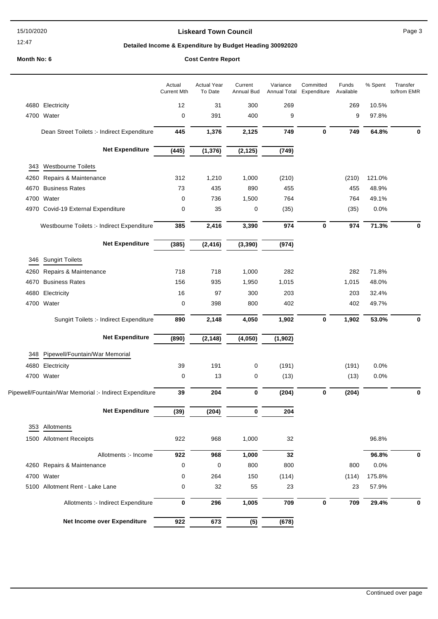12:47

## **Liskeard Town Council Canadian Council** Page 3

## **Detailed Income & Expenditure by Budget Heading 30092020**

|      |                                                        | Actual<br><b>Current Mth</b> | <b>Actual Year</b><br>To Date | Current<br>Annual Bud | Variance<br>Annual Total | Committed<br>Expenditure | Funds<br>Available | % Spent | Transfer<br>to/from EMR |
|------|--------------------------------------------------------|------------------------------|-------------------------------|-----------------------|--------------------------|--------------------------|--------------------|---------|-------------------------|
|      | 4680 Electricity                                       | 12                           | 31                            | 300                   | 269                      |                          | 269                | 10.5%   |                         |
|      | 4700 Water                                             | $\mathbf 0$                  | 391                           | 400                   | 9                        |                          | 9                  | 97.8%   |                         |
|      | Dean Street Toilets :- Indirect Expenditure            | 445                          | 1,376                         | 2,125                 | 749                      | $\bf{0}$                 | 749                | 64.8%   | 0                       |
|      | <b>Net Expenditure</b>                                 | (445)                        | (1, 376)                      | (2, 125)              | (749)                    |                          |                    |         |                         |
| 343  | <b>Westbourne Toilets</b>                              |                              |                               |                       |                          |                          |                    |         |                         |
| 4260 | Repairs & Maintenance                                  | 312                          | 1,210                         | 1,000                 | (210)                    |                          | (210)              | 121.0%  |                         |
| 4670 | <b>Business Rates</b>                                  | 73                           | 435                           | 890                   | 455                      |                          | 455                | 48.9%   |                         |
|      | 4700 Water                                             | 0                            | 736                           | 1,500                 | 764                      |                          | 764                | 49.1%   |                         |
|      | 4970 Covid-19 External Expenditure                     | $\mathbf 0$                  | 35                            | 0                     | (35)                     |                          | (35)               | 0.0%    |                         |
|      | Westbourne Toilets :- Indirect Expenditure             | 385                          | 2,416                         | 3,390                 | 974                      | $\bf{0}$                 | 974                | 71.3%   | 0                       |
|      | <b>Net Expenditure</b>                                 | (385)                        | (2, 416)                      | (3, 390)              | (974)                    |                          |                    |         |                         |
| 346  | <b>Sungirt Toilets</b>                                 |                              |                               |                       |                          |                          |                    |         |                         |
| 4260 | Repairs & Maintenance                                  | 718                          | 718                           | 1,000                 | 282                      |                          | 282                | 71.8%   |                         |
|      | 4670 Business Rates                                    | 156                          | 935                           | 1,950                 | 1,015                    |                          | 1,015              | 48.0%   |                         |
|      | 4680 Electricity                                       | 16                           | 97                            | 300                   | 203                      |                          | 203                | 32.4%   |                         |
|      | 4700 Water                                             | 0                            | 398                           | 800                   | 402                      |                          | 402                | 49.7%   |                         |
|      | Sungirt Toilets :- Indirect Expenditure                | 890                          | 2,148                         | 4,050                 | 1,902                    | $\mathbf 0$              | 1,902              | 53.0%   | $\bf{0}$                |
|      | <b>Net Expenditure</b>                                 | (890)                        | (2, 148)                      | (4,050)               | (1, 902)                 |                          |                    |         |                         |
| 348  | Pipewell/Fountain/War Memorial                         |                              |                               |                       |                          |                          |                    |         |                         |
|      | 4680 Electricity                                       | 39                           | 191                           | 0                     | (191)                    |                          | (191)              | 0.0%    |                         |
|      | 4700 Water                                             | 0                            | 13                            | 0                     | (13)                     |                          | (13)               | 0.0%    |                         |
|      | Pipewell/Fountain/War Memorial :- Indirect Expenditure | 39                           | 204                           | 0                     | (204)                    | 0                        | (204)              |         | 0                       |
|      | <b>Net Expenditure</b>                                 | (39)                         | (204)                         | 0                     | 204                      |                          |                    |         |                         |
|      | 353 Allotments                                         |                              |                               |                       |                          |                          |                    |         |                         |
|      | 1500 Allotment Receipts                                | 922                          | 968                           | 1,000                 | 32                       |                          |                    | 96.8%   |                         |
|      | Allotments :- Income                                   | 922                          | 968                           | 1,000                 | 32                       |                          |                    | 96.8%   | 0                       |
|      | 4260 Repairs & Maintenance                             | 0                            | 0                             | 800                   | 800                      |                          | 800                | 0.0%    |                         |
|      | 4700 Water                                             | 0                            | 264                           | 150                   | (114)                    |                          | (114)              | 175.8%  |                         |
|      | 5100 Allotment Rent - Lake Lane                        | 0                            | 32                            | 55                    | 23                       |                          | 23                 | 57.9%   |                         |
|      | Allotments :- Indirect Expenditure                     | $\bf{0}$                     | 296                           | 1,005                 | 709                      | 0                        | 709                | 29.4%   | 0                       |
|      | Net Income over Expenditure                            | 922                          | 673                           | (5)                   | (678)                    |                          |                    |         |                         |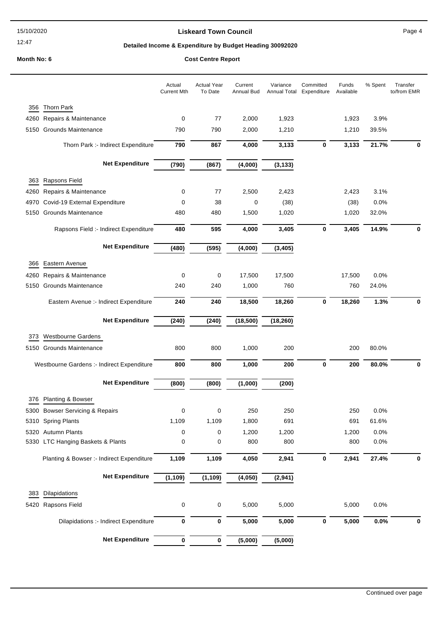12:47

## **Liskeard Town Council Canadian Council** Page 4

## **Detailed Income & Expenditure by Budget Heading 30092020**

|      |                                            | Actual<br><b>Current Mth</b> | <b>Actual Year</b><br>To Date | Current<br>Annual Bud | Variance<br>Annual Total | Committed<br>Expenditure | Funds<br>Available | % Spent | Transfer<br>to/from EMR |
|------|--------------------------------------------|------------------------------|-------------------------------|-----------------------|--------------------------|--------------------------|--------------------|---------|-------------------------|
| 356  | <b>Thorn Park</b>                          |                              |                               |                       |                          |                          |                    |         |                         |
| 4260 | Repairs & Maintenance                      | 0                            | 77                            | 2,000                 | 1,923                    |                          | 1,923              | 3.9%    |                         |
| 5150 | <b>Grounds Maintenance</b>                 | 790                          | 790                           | 2,000                 | 1,210                    |                          | 1,210              | 39.5%   |                         |
|      | Thorn Park :- Indirect Expenditure         | 790                          | 867                           | 4,000                 | 3,133                    | $\bf{0}$                 | 3,133              | 21.7%   | 0                       |
|      | <b>Net Expenditure</b>                     | (790)                        | (867)                         | (4,000)               | (3, 133)                 |                          |                    |         |                         |
| 363  | Rapsons Field                              |                              |                               |                       |                          |                          |                    |         |                         |
| 4260 | Repairs & Maintenance                      | 0                            | 77                            | 2,500                 | 2,423                    |                          | 2,423              | 3.1%    |                         |
| 4970 | Covid-19 External Expenditure              | 0                            | 38                            | 0                     | (38)                     |                          | (38)               | 0.0%    |                         |
| 5150 | Grounds Maintenance                        | 480                          | 480                           | 1,500                 | 1,020                    |                          | 1,020              | 32.0%   |                         |
|      | Rapsons Field :- Indirect Expenditure      | 480                          | 595                           | 4,000                 | 3,405                    | 0                        | 3,405              | 14.9%   | 0                       |
|      |                                            |                              |                               |                       |                          |                          |                    |         |                         |
|      | <b>Net Expenditure</b>                     | (480)                        | (595)                         | (4,000)               | (3, 405)                 |                          |                    |         |                         |
| 366  | Eastern Avenue                             |                              |                               |                       |                          |                          |                    |         |                         |
| 4260 | Repairs & Maintenance                      | 0                            | 0                             | 17,500                | 17,500                   |                          | 17,500             | 0.0%    |                         |
| 5150 | <b>Grounds Maintenance</b>                 | 240                          | 240                           | 1,000                 | 760                      |                          | 760                | 24.0%   |                         |
|      | Eastern Avenue :- Indirect Expenditure     | 240                          | 240                           | 18,500                | 18,260                   | $\bf{0}$                 | 18,260             | 1.3%    | 0                       |
|      | <b>Net Expenditure</b>                     | (240)                        | (240)                         | (18, 500)             | (18, 260)                |                          |                    |         |                         |
| 373  | <b>Westbourne Gardens</b>                  |                              |                               |                       |                          |                          |                    |         |                         |
|      | 5150 Grounds Maintenance                   | 800                          | 800                           | 1,000                 | 200                      |                          | 200                | 80.0%   |                         |
|      |                                            |                              |                               |                       |                          |                          |                    |         |                         |
|      | Westbourne Gardens :- Indirect Expenditure | 800                          | 800                           | 1,000                 | 200                      | $\bf{0}$                 | 200                | 80.0%   | 0                       |
|      | <b>Net Expenditure</b>                     | (800)                        | (800)                         | (1,000)               | (200)                    |                          |                    |         |                         |
| 376  | <b>Planting &amp; Bowser</b>               |                              |                               |                       |                          |                          |                    |         |                         |
|      | 5300 Bowser Servicing & Repairs            | 0                            | 0                             | 250                   | 250                      |                          | 250                | 0.0%    |                         |
|      | 5310 Spring Plants                         | 1,109                        | 1,109                         | 1,800                 | 691                      |                          | 691                | 61.6%   |                         |
|      | 5320 Autumn Plants                         | 0                            | 0                             | 1,200                 | 1,200                    |                          | 1,200              | 0.0%    |                         |
|      | 5330 LTC Hanging Baskets & Plants          | 0                            | 0                             | 800                   | 800                      |                          | 800                | 0.0%    |                         |
|      | Planting & Bowser :- Indirect Expenditure  | 1,109                        | 1,109                         | 4,050                 | 2,941                    | 0                        | 2,941              | 27.4%   | 0                       |
|      | <b>Net Expenditure</b>                     | (1, 109)                     | (1, 109)                      | (4,050)               | (2,941)                  |                          |                    |         |                         |
| 383  | Dilapidations                              |                              |                               |                       |                          |                          |                    |         |                         |
|      | 5420 Rapsons Field                         | 0                            | 0                             | 5,000                 | 5,000                    |                          | 5,000              | 0.0%    |                         |
|      |                                            |                              |                               |                       |                          |                          |                    |         |                         |
|      | Dilapidations :- Indirect Expenditure      | 0                            | 0                             | 5,000                 | 5,000                    | $\pmb{0}$                | 5,000              | $0.0\%$ | 0                       |
|      | <b>Net Expenditure</b>                     | 0                            | 0                             | (5,000)               | (5,000)                  |                          |                    |         |                         |